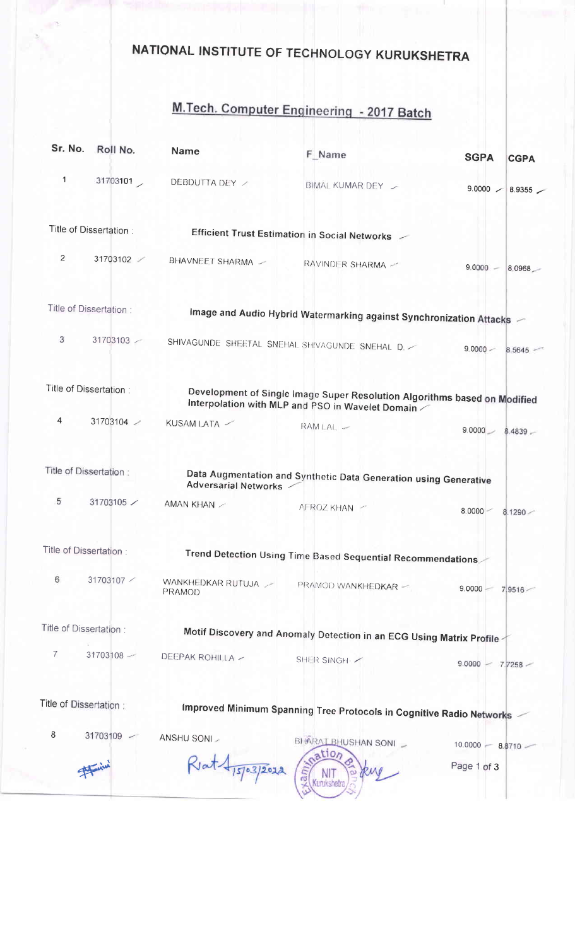## NATIONAL INSTITUTE OF TECHNOLOGY KURUKSHETRA

## M.Tech. Computer Engineering - 2017 Batch

| Sr. No.                 | Roll No.               | <b>Name</b>                          | F Name                                                                                                                        | <b>SGPA</b>              | <b>CGPA</b> |
|-------------------------|------------------------|--------------------------------------|-------------------------------------------------------------------------------------------------------------------------------|--------------------------|-------------|
| $\mathbf{1}$            | 31703101               | DEBDUTTA DEY /                       | BIMAL KUMAR DEY /                                                                                                             | $9.0000$ / 8.9355 /      |             |
|                         | Title of Dissertation: |                                      | Efficient Trust Estimation in Social Networks                                                                                 |                          |             |
| 2                       | 31703102               | BHAVNEET SHARMA -                    | RAVINDER SHARMA -                                                                                                             | $9.0000 - 8.0968$        |             |
|                         | Title of Dissertation: |                                      | Image and Audio Hybrid Watermarking against Synchronization Attacks -                                                         |                          |             |
| 3                       | 31703103               |                                      | SHIVAGUNDE SHEETAL SNEHAL SHIVAGUNDE SNEHAL D.                                                                                | $9.0000 -$<br>8.5645     |             |
| Title of Dissertation : |                        |                                      | Development of Single Image Super Resolution Algorithms based on Modified<br>Interpolation with MLP and PSO in Wavelet Domain |                          |             |
| 4                       | 31703104               | KUSAM LATA /                         | $RAM LAL$ $-$                                                                                                                 | $9.0000 - 8.4839 -$      |             |
| Title of Dissertation:  |                        | <b>Adversarial Networks -</b>        | Data Augmentation and Synthetic Data Generation using Generative                                                              |                          |             |
| 5                       | 31703105 /             | AMAN KHAN                            | AFROZ KHAN -                                                                                                                  | $8.0000 -$<br>$8.1290 -$ |             |
| Title of Dissertation:  |                        |                                      | Trend Detection Using Time Based Sequential Recommendations                                                                   |                          |             |
| 6                       | 31703107 /             | WANKHEDKAR RUTUJA /<br><b>PRAMOD</b> | PRAMOD WANKHEDKAR -                                                                                                           | 9.0000<br>7 9516         |             |
| Title of Dissertation : |                        |                                      | Motif Discovery and Anomaly Detection in an ECG Using Matrix Profile                                                          |                          |             |
| $\overline{7}$          | 31703108               | DEEPAK ROHILLA -                     | SHER SINGH                                                                                                                    | 9.0000<br>$7.7258 -$     |             |
| Title of Dissertation:  |                        |                                      | Improved Minimum Spanning Tree Protocols in Cognitive Radio Networks                                                          |                          |             |
| 8                       | 31703109 -             | ANSHU SONI                           | BHARAI BHUSHAN SONI                                                                                                           | $10.0000 - 8.8710$       |             |
|                         |                        | 15/03/2012                           | ation<br>ka.<br>Kurukshetr                                                                                                    | Page 1 of 3              |             |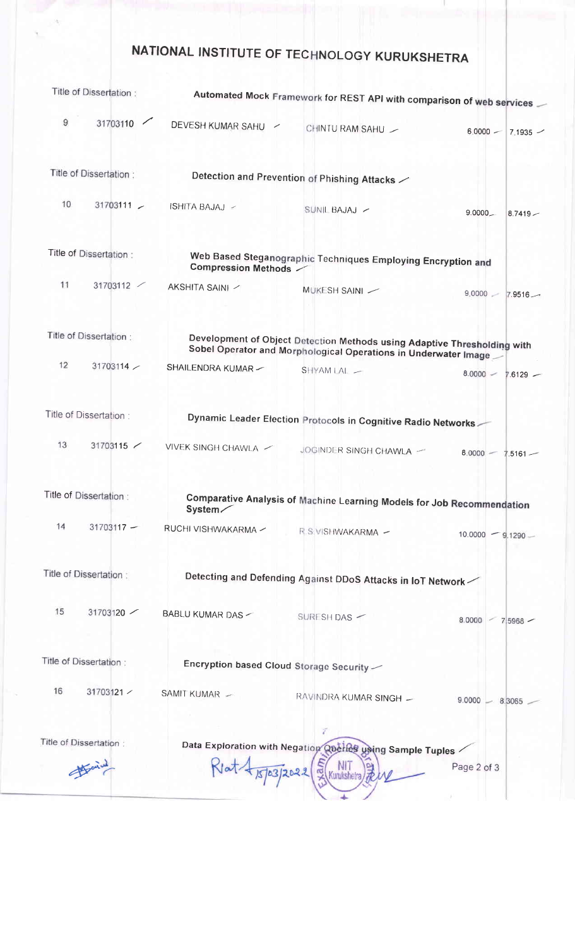## NATIONAL INSTITUTE OF TECHNOLOGY KURUKSHETRA

AU.

| Title of Dissertation: |                        | Automated Mock Framework for REST API with comparison of web services |                                                                                                                                             |                          |  |  |
|------------------------|------------------------|-----------------------------------------------------------------------|---------------------------------------------------------------------------------------------------------------------------------------------|--------------------------|--|--|
| 9                      | 31703110               | DEVESH KUMAR SAHU<br>╱                                                | CHINTU RAM SAHU -                                                                                                                           | $6,0000 -$<br>$7.1935 -$ |  |  |
|                        | Title of Dissertation: |                                                                       | Detection and Prevention of Phishing Attacks $\angle$                                                                                       |                          |  |  |
| 10                     | $31703111 -$           | ISHITA BAJAJ ~                                                        | SUNIL BAJAJ ~                                                                                                                               | $9.0000 -$<br>$8.7419 -$ |  |  |
|                        | Title of Dissertation: | <b>Compression Methods /</b>                                          | Web Based Steganographic Techniques Employing Encryption and                                                                                |                          |  |  |
| 11                     | 31703112               | AKSHITA SAINI /                                                       | MUKESH SAINI -                                                                                                                              | $9.0000 - 7.9516 -$      |  |  |
|                        | Title of Dissertation: |                                                                       | Development of Object Detection Methods using Adaptive Thresholding with<br>Sobel Operator and Morphological Operations in Underwater Image |                          |  |  |
| 12                     | 31703114               | SHAILENDRA KUMAR -                                                    | SHYAM LAL -                                                                                                                                 | $8.0000 -$<br>$7.6129 -$ |  |  |
|                        | Title of Dissertation: |                                                                       | Dynamic Leader Election Protocols in Cognitive Radio Networks                                                                               |                          |  |  |
| 13                     | 31703115               | VIVEK SINGH CHAWLA /                                                  | JOGINDER SINGH CHAWLA -                                                                                                                     | 8.0000<br>$7.5161 -$     |  |  |
|                        | Title of Dissertation: | System/                                                               | Comparative Analysis of Machine Learning Models for Job Recommendation                                                                      |                          |  |  |
| 14                     | $31703117 -$           | RUCHI VISHWAKARMA ~                                                   | R.S VISHWAKARMA -                                                                                                                           | $10.0000 - 9.1290 -$     |  |  |
|                        | Title of Dissertation: |                                                                       | Detecting and Defending Against DDoS Attacks in IoT Network                                                                                 |                          |  |  |
| 15                     | 31703120               | BABLU KUMAR DAS -                                                     | SURESH DAS -                                                                                                                                | 8.0000<br>75968          |  |  |
| Title of Dissertation: |                        | Encryption based Cloud Storage Security                               |                                                                                                                                             |                          |  |  |
| 16                     | 31703121 /             | SAMIT KUMAR -                                                         | RAVINDRA KUMAR SINGH -                                                                                                                      | $9.0000 - 8.3065$        |  |  |
|                        | Title of Dissertation: | 15/03/2022                                                            | Data Exploration with Negation Querles using Sample Tuples<br>Kurukshetra                                                                   | Page 2 of 3              |  |  |
|                        |                        |                                                                       |                                                                                                                                             |                          |  |  |